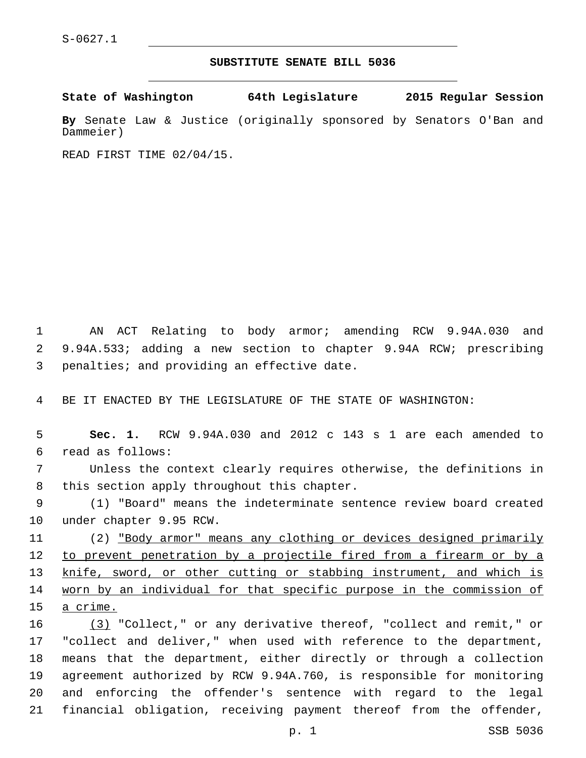## **SUBSTITUTE SENATE BILL 5036**

**State of Washington 64th Legislature 2015 Regular Session**

**By** Senate Law & Justice (originally sponsored by Senators O'Ban and Dammeier)

READ FIRST TIME 02/04/15.

1 AN ACT Relating to body armor; amending RCW 9.94A.030 and 2 9.94A.533; adding a new section to chapter 9.94A RCW; prescribing 3 penalties; and providing an effective date.

4 BE IT ENACTED BY THE LEGISLATURE OF THE STATE OF WASHINGTON:

5 **Sec. 1.** RCW 9.94A.030 and 2012 c 143 s 1 are each amended to read as follows:6

7 Unless the context clearly requires otherwise, the definitions in 8 this section apply throughout this chapter.

9 (1) "Board" means the indeterminate sentence review board created 10 under chapter 9.95 RCW.

11 (2) "Body armor" means any clothing or devices designed primarily 12 to prevent penetration by a projectile fired from a firearm or by a 13 knife, sword, or other cutting or stabbing instrument, and which is 14 worn by an individual for that specific purpose in the commission of 15 a crime.

16 (3) "Collect," or any derivative thereof, "collect and remit," or "collect and deliver," when used with reference to the department, means that the department, either directly or through a collection agreement authorized by RCW 9.94A.760, is responsible for monitoring and enforcing the offender's sentence with regard to the legal financial obligation, receiving payment thereof from the offender,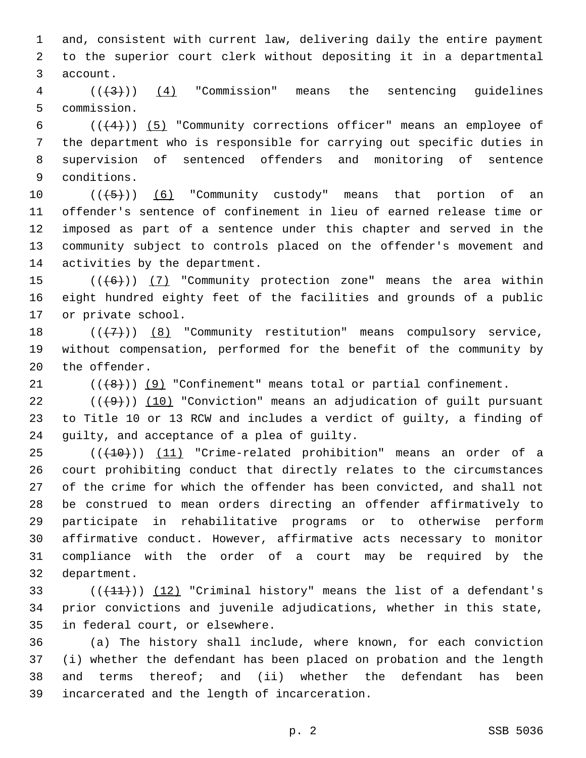1 and, consistent with current law, delivering daily the entire payment 2 to the superior court clerk without depositing it in a departmental 3 account.

 $4$  ( $(\overline{+3})$ ) (4) "Commission" means the sentencing quidelines 5 commission.

 $((+4))$   $(5)$  "Community corrections officer" means an employee of the department who is responsible for carrying out specific duties in supervision of sentenced offenders and monitoring of sentence 9 conditions.

 $((+5+))$   $(6)$  "Community custody" means that portion of an offender's sentence of confinement in lieu of earned release time or imposed as part of a sentence under this chapter and served in the community subject to controls placed on the offender's movement and 14 activities by the department.

15  $((+6+))$  (7) "Community protection zone" means the area within 16 eight hundred eighty feet of the facilities and grounds of a public 17 or private school.

18  $((+7+))$   $(8)$  "Community restitution" means compulsory service, 19 without compensation, performed for the benefit of the community by 20 the offender.

21  $((+8))$   $(9)$  "Confinement" means total or partial confinement.

22  $((+9))$   $(10)$  "Conviction" means an adjudication of guilt pursuant 23 to Title 10 or 13 RCW and includes a verdict of guilty, a finding of 24 guilty, and acceptance of a plea of guilty.

25 (( $(10)$ )) (11) "Crime-related prohibition" means an order of a court prohibiting conduct that directly relates to the circumstances of the crime for which the offender has been convicted, and shall not be construed to mean orders directing an offender affirmatively to participate in rehabilitative programs or to otherwise perform affirmative conduct. However, affirmative acts necessary to monitor compliance with the order of a court may be required by the 32 department.

33  $((+11))$   $(12)$  "Criminal history" means the list of a defendant's 34 prior convictions and juvenile adjudications, whether in this state, 35 in federal court, or elsewhere.

 (a) The history shall include, where known, for each conviction (i) whether the defendant has been placed on probation and the length and terms thereof; and (ii) whether the defendant has been incarcerated and the length of incarceration.39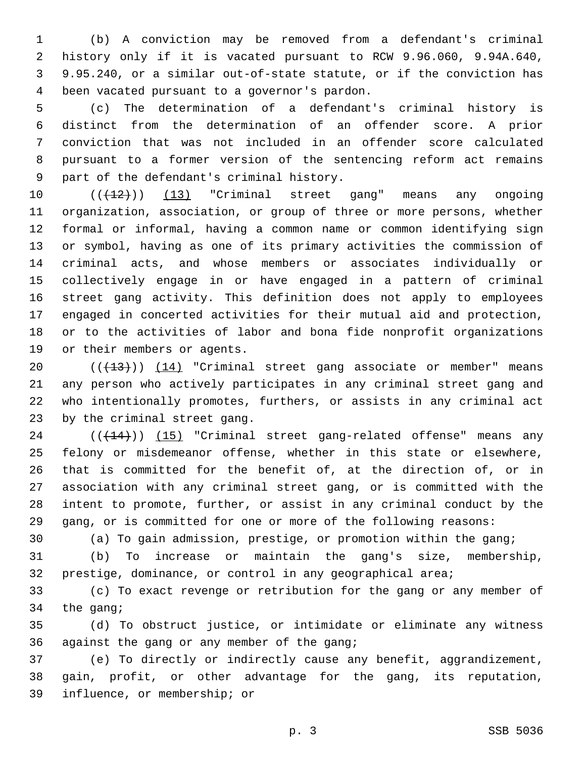(b) A conviction may be removed from a defendant's criminal history only if it is vacated pursuant to RCW 9.96.060, 9.94A.640, 9.95.240, or a similar out-of-state statute, or if the conviction has been vacated pursuant to a governor's pardon.4

 (c) The determination of a defendant's criminal history is distinct from the determination of an offender score. A prior conviction that was not included in an offender score calculated pursuant to a former version of the sentencing reform act remains 9 part of the defendant's criminal history.

10 (( $(12)$ )) (13) "Criminal street gang" means any ongoing organization, association, or group of three or more persons, whether formal or informal, having a common name or common identifying sign or symbol, having as one of its primary activities the commission of criminal acts, and whose members or associates individually or collectively engage in or have engaged in a pattern of criminal street gang activity. This definition does not apply to employees engaged in concerted activities for their mutual aid and protection, or to the activities of labor and bona fide nonprofit organizations 19 or their members or agents.

20 (( $(13)$ )) (14) "Criminal street gang associate or member" means any person who actively participates in any criminal street gang and who intentionally promotes, furthers, or assists in any criminal act 23 by the criminal street gang.

24 (( $(14)$ )) (15) "Criminal street gang-related offense" means any felony or misdemeanor offense, whether in this state or elsewhere, that is committed for the benefit of, at the direction of, or in association with any criminal street gang, or is committed with the intent to promote, further, or assist in any criminal conduct by the gang, or is committed for one or more of the following reasons:

(a) To gain admission, prestige, or promotion within the gang;

 (b) To increase or maintain the gang's size, membership, prestige, dominance, or control in any geographical area;

 (c) To exact revenge or retribution for the gang or any member of the gang;

 (d) To obstruct justice, or intimidate or eliminate any witness 36 against the gang or any member of the gang;

 (e) To directly or indirectly cause any benefit, aggrandizement, gain, profit, or other advantage for the gang, its reputation, 39 influence, or membership; or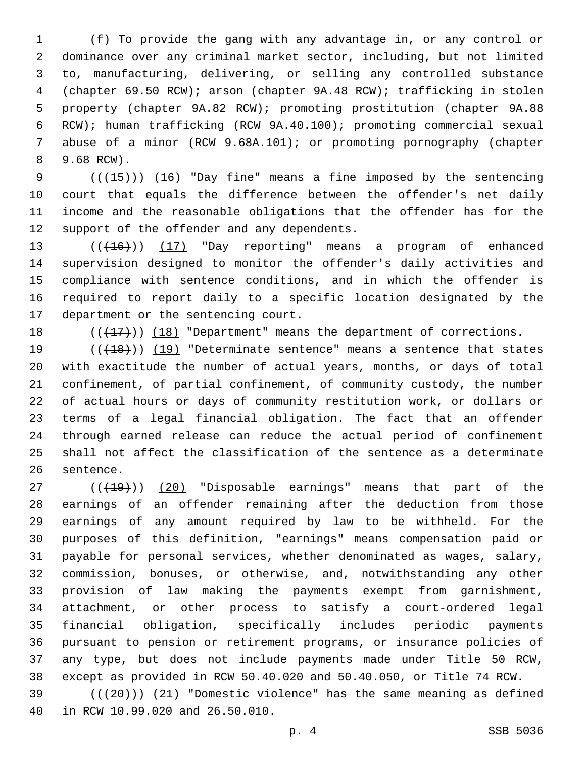(f) To provide the gang with any advantage in, or any control or dominance over any criminal market sector, including, but not limited to, manufacturing, delivering, or selling any controlled substance (chapter 69.50 RCW); arson (chapter 9A.48 RCW); trafficking in stolen property (chapter 9A.82 RCW); promoting prostitution (chapter 9A.88 RCW); human trafficking (RCW 9A.40.100); promoting commercial sexual abuse of a minor (RCW 9.68A.101); or promoting pornography (chapter 9.68 RCW).8

 $((+15))$   $(16)$  "Day fine" means a fine imposed by the sentencing court that equals the difference between the offender's net daily income and the reasonable obligations that the offender has for the 12 support of the offender and any dependents.

 $((+16))$   $(17)$  "Day reporting" means a program of enhanced supervision designed to monitor the offender's daily activities and compliance with sentence conditions, and in which the offender is required to report daily to a specific location designated by the 17 department or the sentencing court.

18  $((+17))$  (18) "Department" means the department of corrections.

19 (( $(18)$ ) (19) "Determinate sentence" means a sentence that states with exactitude the number of actual years, months, or days of total confinement, of partial confinement, of community custody, the number of actual hours or days of community restitution work, or dollars or terms of a legal financial obligation. The fact that an offender through earned release can reduce the actual period of confinement shall not affect the classification of the sentence as a determinate 26 sentence.

27 (( $(19)$ )) (20) "Disposable earnings" means that part of the earnings of an offender remaining after the deduction from those earnings of any amount required by law to be withheld. For the purposes of this definition, "earnings" means compensation paid or payable for personal services, whether denominated as wages, salary, commission, bonuses, or otherwise, and, notwithstanding any other provision of law making the payments exempt from garnishment, attachment, or other process to satisfy a court-ordered legal financial obligation, specifically includes periodic payments pursuant to pension or retirement programs, or insurance policies of any type, but does not include payments made under Title 50 RCW, except as provided in RCW 50.40.020 and 50.40.050, or Title 74 RCW.

39  $((+20))$   $(21)$  "Domestic violence" has the same meaning as defined 40 in RCW 10.99.020 and 26.50.010.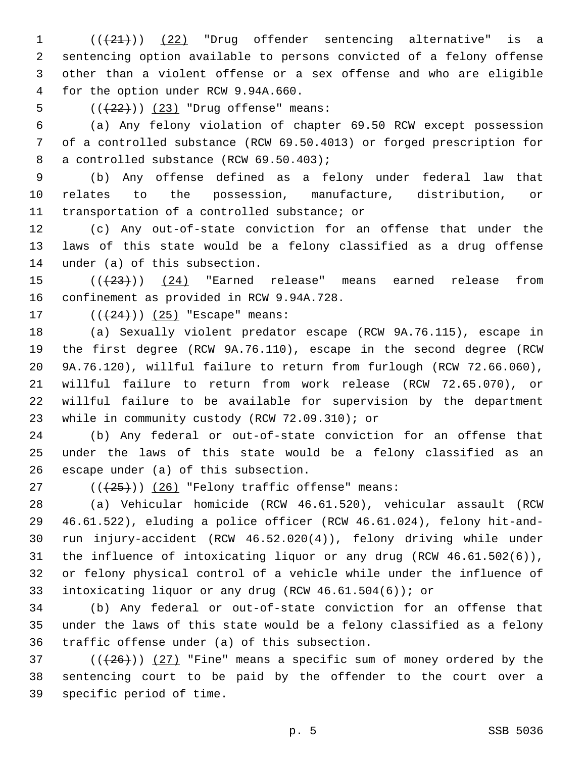1 (( $(21)$ )) (22) "Drug offender sentencing alternative" is a sentencing option available to persons convicted of a felony offense other than a violent offense or a sex offense and who are eligible 4 for the option under RCW 9.94A.660.

5 (( $(22)$ )) (23) "Drug offense" means:

 (a) Any felony violation of chapter 69.50 RCW except possession of a controlled substance (RCW 69.50.4013) or forged prescription for 8 a controlled substance (RCW 69.50.403);

 (b) Any offense defined as a felony under federal law that relates to the possession, manufacture, distribution, or 11 transportation of a controlled substance; or

 (c) Any out-of-state conviction for an offense that under the laws of this state would be a felony classified as a drug offense 14 under (a) of this subsection.

 $((23))$   $(24)$  "Earned release" means earned release from 16 confinement as provided in RCW 9.94A.728.

17  $((+24))$   $(25)$  "Escape" means:

 (a) Sexually violent predator escape (RCW 9A.76.115), escape in the first degree (RCW 9A.76.110), escape in the second degree (RCW 9A.76.120), willful failure to return from furlough (RCW 72.66.060), willful failure to return from work release (RCW 72.65.070), or willful failure to be available for supervision by the department 23 while in community custody (RCW 72.09.310); or

 (b) Any federal or out-of-state conviction for an offense that under the laws of this state would be a felony classified as an 26 escape under  $(a)$  of this subsection.

 $($   $((+25))$   $(26)$  "Felony traffic offense" means:

 (a) Vehicular homicide (RCW 46.61.520), vehicular assault (RCW 46.61.522), eluding a police officer (RCW 46.61.024), felony hit-and- run injury-accident (RCW 46.52.020(4)), felony driving while under the influence of intoxicating liquor or any drug (RCW 46.61.502(6)), or felony physical control of a vehicle while under the influence of intoxicating liquor or any drug (RCW 46.61.504(6)); or

 (b) Any federal or out-of-state conviction for an offense that under the laws of this state would be a felony classified as a felony 36 traffic offense under (a) of this subsection.

37  $((+26))$   $(27)$  "Fine" means a specific sum of money ordered by the sentencing court to be paid by the offender to the court over a 39 specific period of time.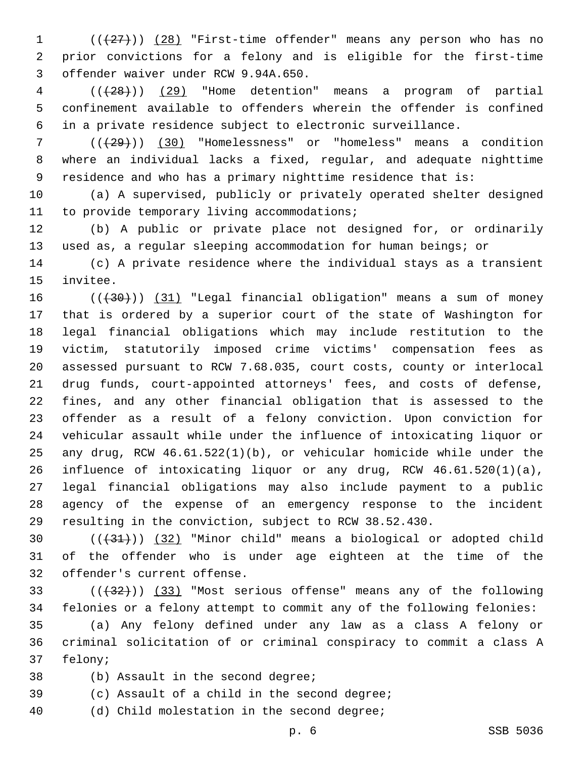1 (( $(27)$ )) (28) "First-time offender" means any person who has no prior convictions for a felony and is eligible for the first-time offender waiver under RCW 9.94A.650.3

 (((28))) (29) "Home detention" means a program of partial confinement available to offenders wherein the offender is confined in a private residence subject to electronic surveillance.

 (((29))) (30) "Homelessness" or "homeless" means a condition where an individual lacks a fixed, regular, and adequate nighttime residence and who has a primary nighttime residence that is:

 (a) A supervised, publicly or privately operated shelter designed 11 to provide temporary living accommodations;

 (b) A public or private place not designed for, or ordinarily used as, a regular sleeping accommodation for human beings; or

 (c) A private residence where the individual stays as a transient 15 invitee.

 $((+30))$   $(31)$  "Legal financial obligation" means a sum of money that is ordered by a superior court of the state of Washington for legal financial obligations which may include restitution to the victim, statutorily imposed crime victims' compensation fees as assessed pursuant to RCW 7.68.035, court costs, county or interlocal drug funds, court-appointed attorneys' fees, and costs of defense, fines, and any other financial obligation that is assessed to the offender as a result of a felony conviction. Upon conviction for vehicular assault while under the influence of intoxicating liquor or any drug, RCW 46.61.522(1)(b), or vehicular homicide while under the influence of intoxicating liquor or any drug, RCW 46.61.520(1)(a), legal financial obligations may also include payment to a public agency of the expense of an emergency response to the incident resulting in the conviction, subject to RCW 38.52.430.

30  $((+31))$   $(32)$  "Minor child" means a biological or adopted child of the offender who is under age eighteen at the time of the 32 offender's current offense.

33 (((432))) (33) "Most serious offense" means any of the following felonies or a felony attempt to commit any of the following felonies:

 (a) Any felony defined under any law as a class A felony or criminal solicitation of or criminal conspiracy to commit a class A 37 felony;

- 38 (b) Assault in the second degree;
- 39 (c) Assault of a child in the second degree;

40 (d) Child molestation in the second degree;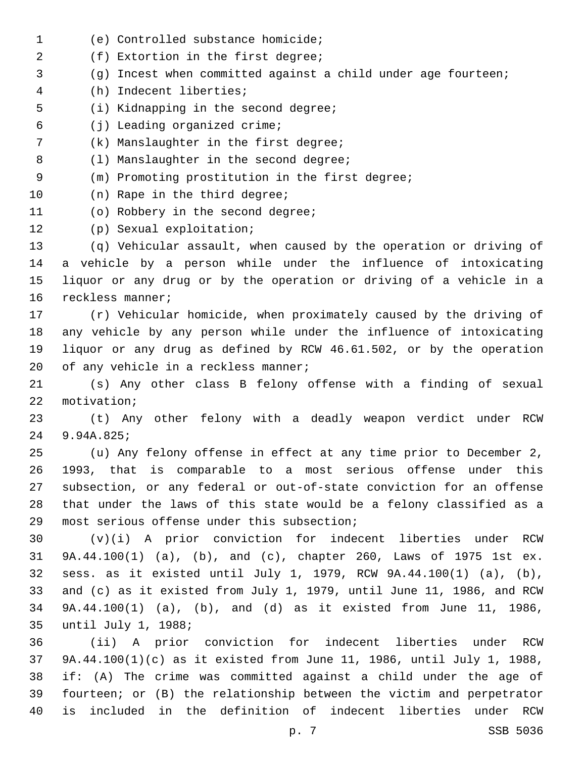(e) Controlled substance homicide;1 2 (f) Extortion in the first degree; 3 (g) Incest when committed against a child under age fourteen; (h) Indecent liberties;4 5 (i) Kidnapping in the second degree; (j) Leading organized crime;6 7 (k) Manslaughter in the first degree; 8 (1) Manslaughter in the second degree; 9 (m) Promoting prostitution in the first degree; 10 (n) Rape in the third degree; 11 (o) Robbery in the second degree; 12 (p) Sexual exploitation; 13 (q) Vehicular assault, when caused by the operation or driving of 14 a vehicle by a person while under the influence of intoxicating 15 liquor or any drug or by the operation or driving of a vehicle in a 16 reckless manner; 17 (r) Vehicular homicide, when proximately caused by the driving of 18 any vehicle by any person while under the influence of intoxicating 19 liquor or any drug as defined by RCW 46.61.502, or by the operation 20 of any vehicle in a reckless manner; 21 (s) Any other class B felony offense with a finding of sexual 22 motivation; 23 (t) Any other felony with a deadly weapon verdict under RCW 9.94A.825;24 25 (u) Any felony offense in effect at any time prior to December 2, 26 1993, that is comparable to a most serious offense under this 27 subsection, or any federal or out-of-state conviction for an offense 28 that under the laws of this state would be a felony classified as a 29 most serious offense under this subsection; 30 (v)(i) A prior conviction for indecent liberties under RCW 31 9A.44.100(1) (a), (b), and (c), chapter 260, Laws of 1975 1st ex. 32 sess. as it existed until July 1, 1979, RCW 9A.44.100(1) (a), (b), 33 and (c) as it existed from July 1, 1979, until June 11, 1986, and RCW 34 9A.44.100(1) (a), (b), and (d) as it existed from June 11, 1986, 35 until July 1, 1988; 36 (ii) A prior conviction for indecent liberties under RCW 37 9A.44.100(1)(c) as it existed from June 11, 1986, until July 1, 1988, 38 if: (A) The crime was committed against a child under the age of 39 fourteen; or (B) the relationship between the victim and perpetrator 40 is included in the definition of indecent liberties under RCW

p. 7 SSB 5036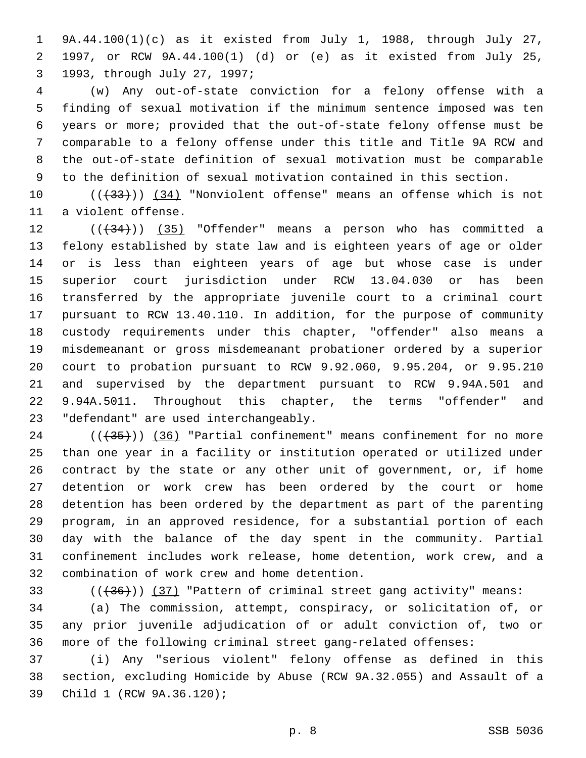9A.44.100(1)(c) as it existed from July 1, 1988, through July 27, 1997, or RCW 9A.44.100(1) (d) or (e) as it existed from July 25, 1993, through July 27, 1997;3

 (w) Any out-of-state conviction for a felony offense with a finding of sexual motivation if the minimum sentence imposed was ten years or more; provided that the out-of-state felony offense must be comparable to a felony offense under this title and Title 9A RCW and the out-of-state definition of sexual motivation must be comparable to the definition of sexual motivation contained in this section.

10 (( $\left(\frac{33}{12}\right)$ ) (34) "Nonviolent offense" means an offense which is not 11 a violent offense.

12 (( $+34$ )) (35) "Offender" means a person who has committed a felony established by state law and is eighteen years of age or older or is less than eighteen years of age but whose case is under superior court jurisdiction under RCW 13.04.030 or has been transferred by the appropriate juvenile court to a criminal court pursuant to RCW 13.40.110. In addition, for the purpose of community custody requirements under this chapter, "offender" also means a misdemeanant or gross misdemeanant probationer ordered by a superior court to probation pursuant to RCW 9.92.060, 9.95.204, or 9.95.210 and supervised by the department pursuant to RCW 9.94A.501 and 9.94A.5011. Throughout this chapter, the terms "offender" and 23 "defendant" are used interchangeably.

24 (( $(35)$ )) (36) "Partial confinement" means confinement for no more than one year in a facility or institution operated or utilized under contract by the state or any other unit of government, or, if home detention or work crew has been ordered by the court or home detention has been ordered by the department as part of the parenting program, in an approved residence, for a substantial portion of each day with the balance of the day spent in the community. Partial confinement includes work release, home detention, work crew, and a 32 combination of work crew and home detention.

33  $((+36))$  (37) "Pattern of criminal street gang activity" means:

 (a) The commission, attempt, conspiracy, or solicitation of, or any prior juvenile adjudication of or adult conviction of, two or more of the following criminal street gang-related offenses:

 (i) Any "serious violent" felony offense as defined in this section, excluding Homicide by Abuse (RCW 9A.32.055) and Assault of a 39 Child 1 (RCW 9A.36.120);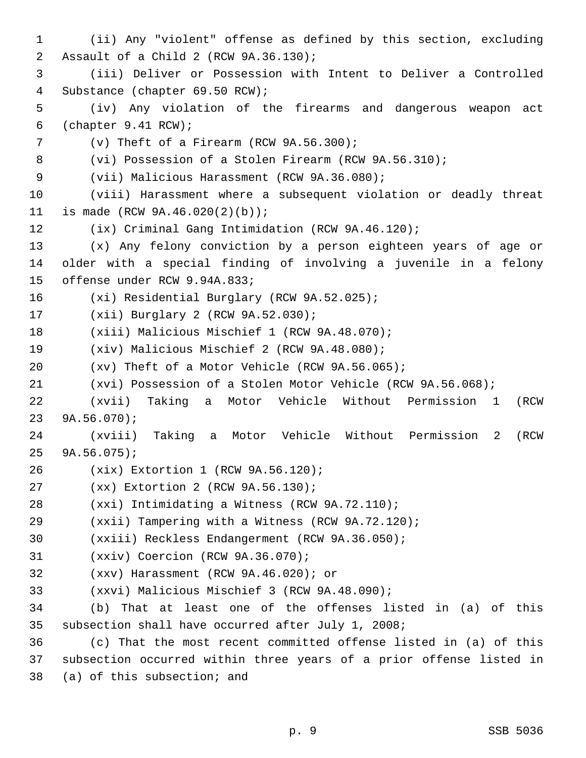1 (ii) Any "violent" offense as defined by this section, excluding 2 Assault of a Child 2 (RCW 9A.36.130); 3 (iii) Deliver or Possession with Intent to Deliver a Controlled 4 Substance (chapter 69.50 RCW); 5 (iv) Any violation of the firearms and dangerous weapon act 6 (chapter  $9.41$  RCW);  $\nabla$  (v) Theft of a Firearm (RCW 9A.56.300); 8 (vi) Possession of a Stolen Firearm (RCW 9A.56.310); 9 (vii) Malicious Harassment (RCW 9A.36.080); 10 (viii) Harassment where a subsequent violation or deadly threat 11 is made (RCW 9A.46.020(2)(b)); 12 (ix) Criminal Gang Intimidation (RCW 9A.46.120); 13 (x) Any felony conviction by a person eighteen years of age or 14 older with a special finding of involving a juvenile in a felony 15 offense under RCW 9.94A.833; 16 (xi) Residential Burglary (RCW 9A.52.025); 17 (xii) Burglary 2 (RCW 9A.52.030); 18 (xiii) Malicious Mischief 1 (RCW 9A.48.070); 19 (xiv) Malicious Mischief 2 (RCW 9A.48.080); 20 (xv) Theft of a Motor Vehicle (RCW 9A.56.065); 21 (xvi) Possession of a Stolen Motor Vehicle (RCW 9A.56.068); 22 (xvii) Taking a Motor Vehicle Without Permission 1 (RCW  $23$   $9A.56.070$ ; 24 (xviii) Taking a Motor Vehicle Without Permission 2 (RCW  $25$  9A.56.075); (xix) Extortion 1 (RCW 9A.56.120);26 27 (xx) Extortion 2 (RCW 9A.56.130); 28 (xxi) Intimidating a Witness (RCW 9A.72.110); 29 (xxii) Tampering with a Witness (RCW 9A.72.120); 30 (xxiii) Reckless Endangerment (RCW 9A.36.050); 31 (xxiv) Coercion (RCW 9A.36.070); (xxv) Harassment (RCW 9A.46.020); or32 33 (xxvi) Malicious Mischief 3 (RCW 9A.48.090); 34 (b) That at least one of the offenses listed in (a) of this 35 subsection shall have occurred after July 1, 2008; 36 (c) That the most recent committed offense listed in (a) of this 37 subsection occurred within three years of a prior offense listed in 38 (a) of this subsection; and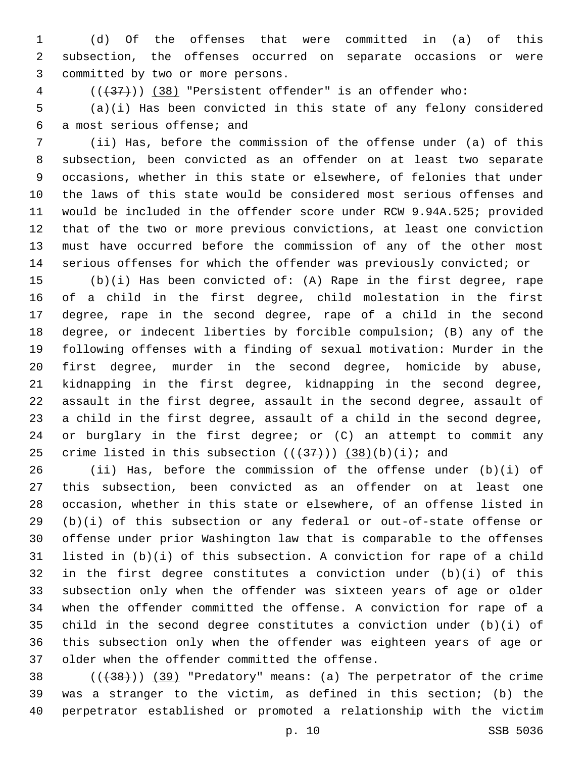(d) Of the offenses that were committed in (a) of this subsection, the offenses occurred on separate occasions or were 3 committed by two or more persons.

4 (( $(37)$ )) (38) "Persistent offender" is an offender who:

 (a)(i) Has been convicted in this state of any felony considered a most serious offense; and6

 (ii) Has, before the commission of the offense under (a) of this subsection, been convicted as an offender on at least two separate occasions, whether in this state or elsewhere, of felonies that under the laws of this state would be considered most serious offenses and would be included in the offender score under RCW 9.94A.525; provided that of the two or more previous convictions, at least one conviction must have occurred before the commission of any of the other most serious offenses for which the offender was previously convicted; or

 (b)(i) Has been convicted of: (A) Rape in the first degree, rape of a child in the first degree, child molestation in the first degree, rape in the second degree, rape of a child in the second degree, or indecent liberties by forcible compulsion; (B) any of the following offenses with a finding of sexual motivation: Murder in the first degree, murder in the second degree, homicide by abuse, kidnapping in the first degree, kidnapping in the second degree, assault in the first degree, assault in the second degree, assault of a child in the first degree, assault of a child in the second degree, or burglary in the first degree; or (C) an attempt to commit any 25 crime listed in this subsection  $((+37))$   $(38)(b)(i)$ ; and

 (ii) Has, before the commission of the offense under (b)(i) of this subsection, been convicted as an offender on at least one occasion, whether in this state or elsewhere, of an offense listed in (b)(i) of this subsection or any federal or out-of-state offense or offense under prior Washington law that is comparable to the offenses listed in (b)(i) of this subsection. A conviction for rape of a child in the first degree constitutes a conviction under (b)(i) of this subsection only when the offender was sixteen years of age or older when the offender committed the offense. A conviction for rape of a child in the second degree constitutes a conviction under (b)(i) of this subsection only when the offender was eighteen years of age or 37 older when the offender committed the offense.

38 (( $(38)$ ) (39) "Predatory" means: (a) The perpetrator of the crime was a stranger to the victim, as defined in this section; (b) the perpetrator established or promoted a relationship with the victim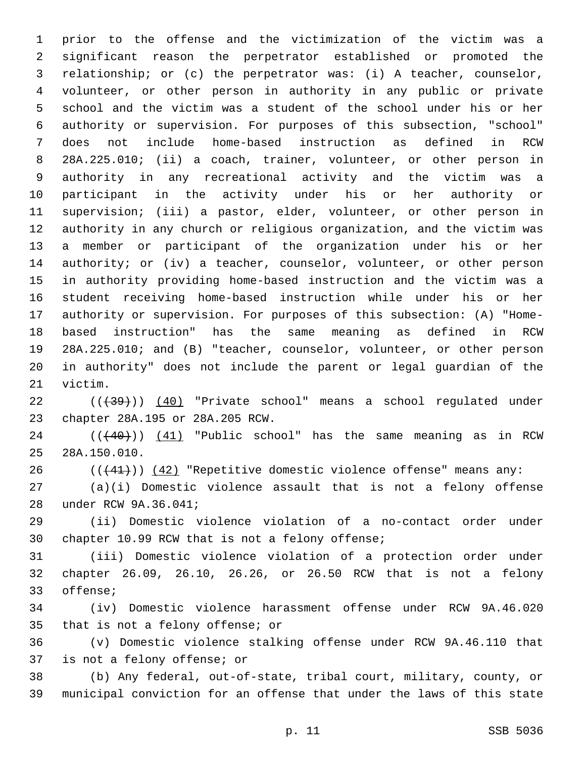prior to the offense and the victimization of the victim was a significant reason the perpetrator established or promoted the relationship; or (c) the perpetrator was: (i) A teacher, counselor, volunteer, or other person in authority in any public or private school and the victim was a student of the school under his or her authority or supervision. For purposes of this subsection, "school" does not include home-based instruction as defined in RCW 28A.225.010; (ii) a coach, trainer, volunteer, or other person in authority in any recreational activity and the victim was a participant in the activity under his or her authority or supervision; (iii) a pastor, elder, volunteer, or other person in authority in any church or religious organization, and the victim was a member or participant of the organization under his or her 14 authority; or (iv) a teacher, counselor, volunteer, or other person in authority providing home-based instruction and the victim was a student receiving home-based instruction while under his or her authority or supervision. For purposes of this subsection: (A) "Home- based instruction" has the same meaning as defined in RCW 28A.225.010; and (B) "teacher, counselor, volunteer, or other person in authority" does not include the parent or legal guardian of the 21 victim.

22 ((+39))) (40) "Private school" means a school regulated under 23 chapter 28A.195 or 28A.205 RCW.

 $((40))$   $(41)$  "Public school" has the same meaning as in RCW 28A.150.010.25

26  $((+41))$   $(42)$  "Repetitive domestic violence offense" means any:

 (a)(i) Domestic violence assault that is not a felony offense 28 under RCW 9A.36.041;

 (ii) Domestic violence violation of a no-contact order under 30 chapter 10.99 RCW that is not a felony offense;

 (iii) Domestic violence violation of a protection order under chapter 26.09, 26.10, 26.26, or 26.50 RCW that is not a felony 33 offense;

 (iv) Domestic violence harassment offense under RCW 9A.46.020 35 that is not a felony offense; or

 (v) Domestic violence stalking offense under RCW 9A.46.110 that 37 is not a felony offense; or

 (b) Any federal, out-of-state, tribal court, military, county, or municipal conviction for an offense that under the laws of this state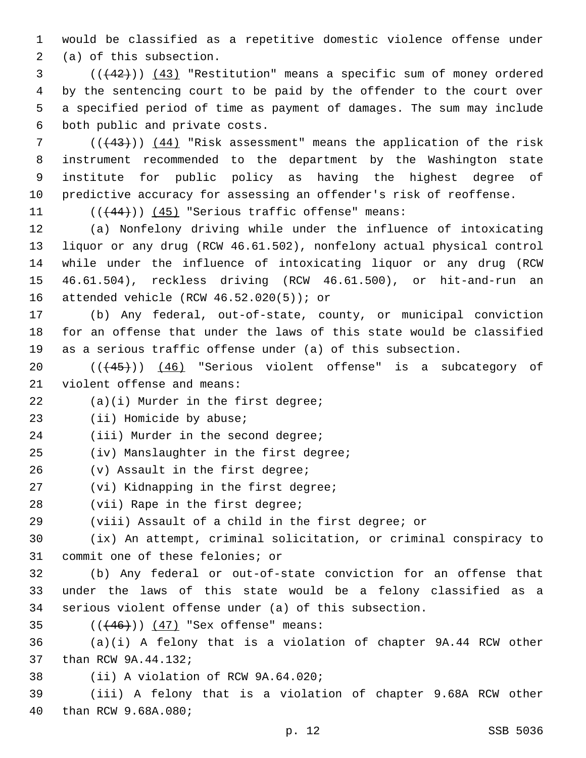1 would be classified as a repetitive domestic violence offense under 2 (a) of this subsection.

 (((42))) (43) "Restitution" means a specific sum of money ordered by the sentencing court to be paid by the offender to the court over a specified period of time as payment of damages. The sum may include 6 both public and private costs.

7 ( $((43))$  (44) "Risk assessment" means the application of the risk instrument recommended to the department by the Washington state institute for public policy as having the highest degree of predictive accuracy for assessing an offender's risk of reoffense.

11  $((+44))$   $(45)$  "Serious traffic offense" means:

 (a) Nonfelony driving while under the influence of intoxicating liquor or any drug (RCW 46.61.502), nonfelony actual physical control while under the influence of intoxicating liquor or any drug (RCW 46.61.504), reckless driving (RCW 46.61.500), or hit-and-run an 16 attended vehicle (RCW  $46.52.020(5)$ ); or

17 (b) Any federal, out-of-state, county, or municipal conviction 18 for an offense that under the laws of this state would be classified 19 as a serious traffic offense under (a) of this subsection.

20 (( $(45)$ )) (46) "Serious violent offense" is a subcategory of 21 violent offense and means:

 $(22)$   $(a)(i)$  Murder in the first degree;

23 (ii) Homicide by abuse;

24 (iii) Murder in the second degree;

25 (iv) Manslaughter in the first degree;

 $26$  (v) Assault in the first degree;

27 (vi) Kidnapping in the first degree;

28 (vii) Rape in the first degree;

29 (viii) Assault of a child in the first degree; or

30 (ix) An attempt, criminal solicitation, or criminal conspiracy to 31 commit one of these felonies; or

32 (b) Any federal or out-of-state conviction for an offense that 33 under the laws of this state would be a felony classified as a 34 serious violent offense under (a) of this subsection.

35  $((+46)) (47)$  "Sex offense" means:

36 (a)(i) A felony that is a violation of chapter 9A.44 RCW other 37 than RCW 9A.44.132;

38 (ii) A violation of RCW 9A.64.020;

39 (iii) A felony that is a violation of chapter 9.68A RCW other 40 than RCW 9.68A.080;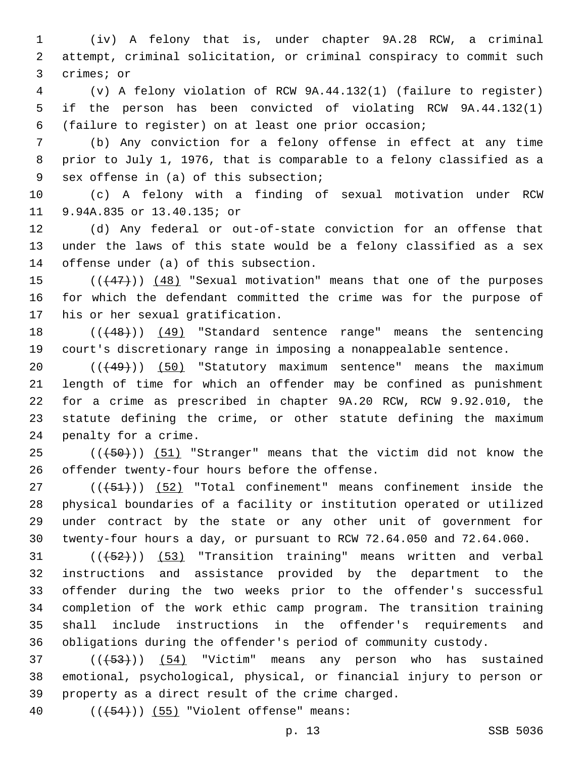(iv) A felony that is, under chapter 9A.28 RCW, a criminal attempt, criminal solicitation, or criminal conspiracy to commit such 3 crimes; or

 (v) A felony violation of RCW 9A.44.132(1) (failure to register) if the person has been convicted of violating RCW 9A.44.132(1) (failure to register) on at least one prior occasion;

 (b) Any conviction for a felony offense in effect at any time prior to July 1, 1976, that is comparable to a felony classified as a 9 sex offense in (a) of this subsection;

 (c) A felony with a finding of sexual motivation under RCW 11 9.94A.835 or 13.40.135; or

 (d) Any federal or out-of-state conviction for an offense that under the laws of this state would be a felony classified as a sex 14 offense under (a) of this subsection.

15 (( $(47)$ )) (48) "Sexual motivation" means that one of the purposes for which the defendant committed the crime was for the purpose of 17 his or her sexual gratification.

18 (( $(48)$ )) (49) "Standard sentence range" means the sentencing court's discretionary range in imposing a nonappealable sentence.

20 (( $\left(\frac{49}{10}\right)$ ) (50) "Statutory maximum sentence" means the maximum length of time for which an offender may be confined as punishment for a crime as prescribed in chapter 9A.20 RCW, RCW 9.92.010, the statute defining the crime, or other statute defining the maximum 24 penalty for a crime.

25 (( $(50)$ )) (51) "Stranger" means that the victim did not know the 26 offender twenty-four hours before the offense.

 ( $(\overline{+51})$ )  $(52)$  "Total confinement" means confinement inside the physical boundaries of a facility or institution operated or utilized under contract by the state or any other unit of government for twenty-four hours a day, or pursuant to RCW 72.64.050 and 72.64.060.

31 (((452))) (53) "Transition training" means written and verbal instructions and assistance provided by the department to the offender during the two weeks prior to the offender's successful completion of the work ethic camp program. The transition training shall include instructions in the offender's requirements and obligations during the offender's period of community custody.

 ( $(\overline{+53})$ )  $(54)$  "Victim" means any person who has sustained emotional, psychological, physical, or financial injury to person or 39 property as a direct result of the crime charged.

40  $((+54))$  (55) "Violent offense" means: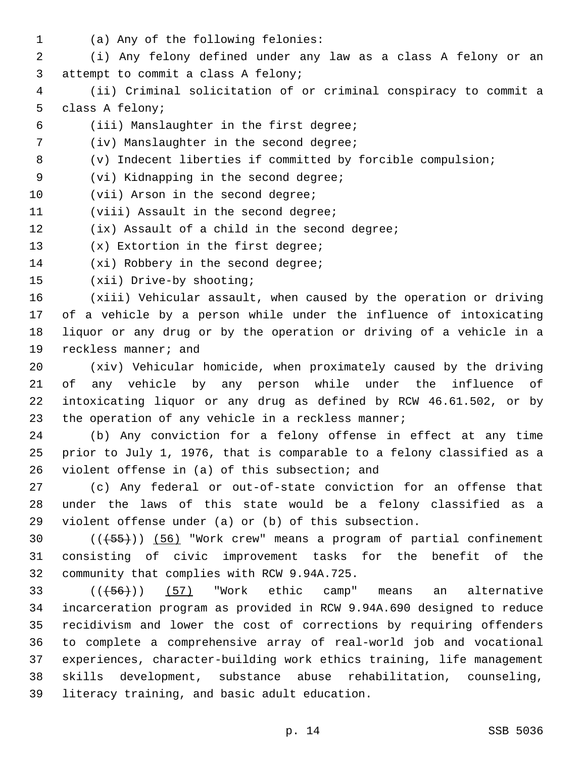- 
- 1 (a) Any of the following felonies:

2 (i) Any felony defined under any law as a class A felony or an 3 attempt to commit a class A felony;

- 4 (ii) Criminal solicitation of or criminal conspiracy to commit a 5 class A felony;
- (iii) Manslaughter in the first degree;6
- 7 (iv) Manslaughter in the second degree;
- 8 (v) Indecent liberties if committed by forcible compulsion;
- 9 (vi) Kidnapping in the second degree;
- 10 (vii) Arson in the second degree;
- 11 (viii) Assault in the second degree;
- 12 (ix) Assault of a child in the second degree;
- 13 (x) Extortion in the first degree;
- 14 (xi) Robbery in the second degree;
- 15 (xii) Drive-by shooting;

 (xiii) Vehicular assault, when caused by the operation or driving of a vehicle by a person while under the influence of intoxicating liquor or any drug or by the operation or driving of a vehicle in a 19 reckless manner; and

 (xiv) Vehicular homicide, when proximately caused by the driving of any vehicle by any person while under the influence of intoxicating liquor or any drug as defined by RCW 46.61.502, or by 23 the operation of any vehicle in a reckless manner;

24 (b) Any conviction for a felony offense in effect at any time 25 prior to July 1, 1976, that is comparable to a felony classified as a 26 violent offense in  $(a)$  of this subsection; and

27 (c) Any federal or out-of-state conviction for an offense that 28 under the laws of this state would be a felony classified as a 29 violent offense under (a) or (b) of this subsection.

30 (( $\left(\frac{55}{10}\right)$ ) (56) "Work crew" means a program of partial confinement 31 consisting of civic improvement tasks for the benefit of the 32 community that complies with RCW 9.94A.725.

 $((+56))$  (57) "Work ethic camp" means an alternative incarceration program as provided in RCW 9.94A.690 designed to reduce recidivism and lower the cost of corrections by requiring offenders to complete a comprehensive array of real-world job and vocational experiences, character-building work ethics training, life management skills development, substance abuse rehabilitation, counseling, 39 literacy training, and basic adult education.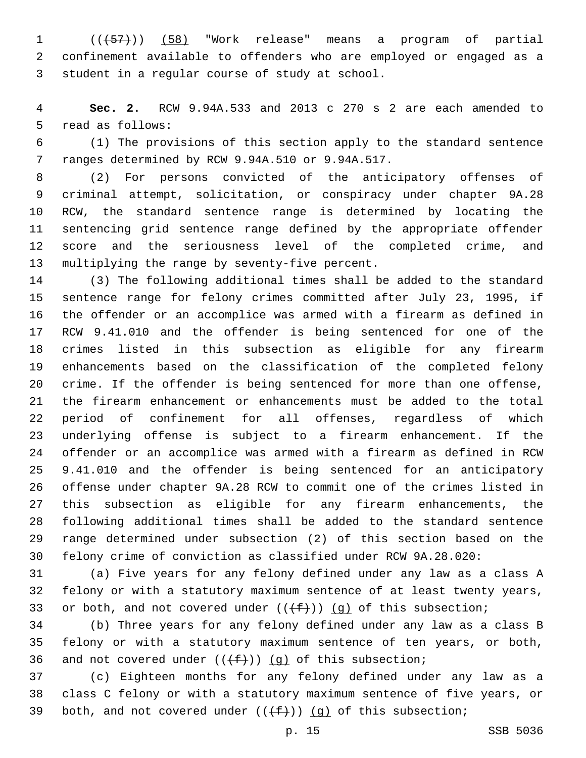(((57))) (58) "Work release" means a program of partial confinement available to offenders who are employed or engaged as a 3 student in a regular course of study at school.

 **Sec. 2.** RCW 9.94A.533 and 2013 c 270 s 2 are each amended to 5 read as follows:

 (1) The provisions of this section apply to the standard sentence 7 ranges determined by RCW 9.94A.510 or 9.94A.517.

 (2) For persons convicted of the anticipatory offenses of criminal attempt, solicitation, or conspiracy under chapter 9A.28 RCW, the standard sentence range is determined by locating the sentencing grid sentence range defined by the appropriate offender score and the seriousness level of the completed crime, and 13 multiplying the range by seventy-five percent.

 (3) The following additional times shall be added to the standard sentence range for felony crimes committed after July 23, 1995, if the offender or an accomplice was armed with a firearm as defined in RCW 9.41.010 and the offender is being sentenced for one of the crimes listed in this subsection as eligible for any firearm enhancements based on the classification of the completed felony crime. If the offender is being sentenced for more than one offense, the firearm enhancement or enhancements must be added to the total period of confinement for all offenses, regardless of which underlying offense is subject to a firearm enhancement. If the offender or an accomplice was armed with a firearm as defined in RCW 9.41.010 and the offender is being sentenced for an anticipatory offense under chapter 9A.28 RCW to commit one of the crimes listed in this subsection as eligible for any firearm enhancements, the following additional times shall be added to the standard sentence range determined under subsection (2) of this section based on the felony crime of conviction as classified under RCW 9A.28.020:

 (a) Five years for any felony defined under any law as a class A felony or with a statutory maximum sentence of at least twenty years, 33 or both, and not covered under  $((+f))$  (g) of this subsection;

 (b) Three years for any felony defined under any law as a class B felony or with a statutory maximum sentence of ten years, or both, 36 and not covered under  $((f+))$  (g) of this subsection;

 (c) Eighteen months for any felony defined under any law as a class C felony or with a statutory maximum sentence of five years, or 39 both, and not covered under  $((f+))$  (g) of this subsection;

p. 15 SSB 5036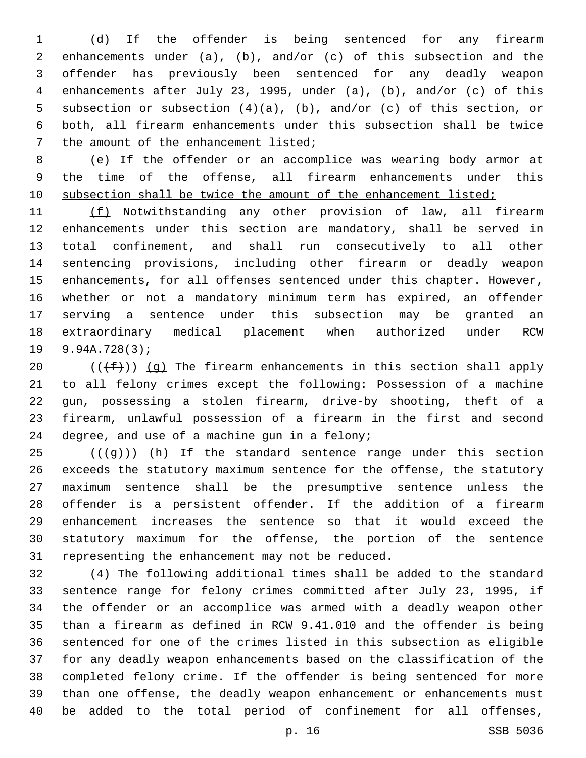(d) If the offender is being sentenced for any firearm enhancements under (a), (b), and/or (c) of this subsection and the offender has previously been sentenced for any deadly weapon enhancements after July 23, 1995, under (a), (b), and/or (c) of this subsection or subsection (4)(a), (b), and/or (c) of this section, or both, all firearm enhancements under this subsection shall be twice 7 the amount of the enhancement listed;

 (e) If the offender or an accomplice was wearing body armor at 9 the time of the offense, all firearm enhancements under this 10 subsection shall be twice the amount of the enhancement listed;

 (f) Notwithstanding any other provision of law, all firearm enhancements under this section are mandatory, shall be served in total confinement, and shall run consecutively to all other sentencing provisions, including other firearm or deadly weapon enhancements, for all offenses sentenced under this chapter. However, whether or not a mandatory minimum term has expired, an offender serving a sentence under this subsection may be granted an extraordinary medical placement when authorized under RCW 9.94A.728(3);19

 $((\text{+f-}))(g)$  The firearm enhancements in this section shall apply to all felony crimes except the following: Possession of a machine gun, possessing a stolen firearm, drive-by shooting, theft of a firearm, unlawful possession of a firearm in the first and second 24 degree, and use of a machine gun in a felony;

 (( $\left(\frac{1}{9}t\right)$ ) (h) If the standard sentence range under this section exceeds the statutory maximum sentence for the offense, the statutory maximum sentence shall be the presumptive sentence unless the offender is a persistent offender. If the addition of a firearm enhancement increases the sentence so that it would exceed the statutory maximum for the offense, the portion of the sentence 31 representing the enhancement may not be reduced.

 (4) The following additional times shall be added to the standard sentence range for felony crimes committed after July 23, 1995, if the offender or an accomplice was armed with a deadly weapon other than a firearm as defined in RCW 9.41.010 and the offender is being sentenced for one of the crimes listed in this subsection as eligible for any deadly weapon enhancements based on the classification of the completed felony crime. If the offender is being sentenced for more than one offense, the deadly weapon enhancement or enhancements must be added to the total period of confinement for all offenses,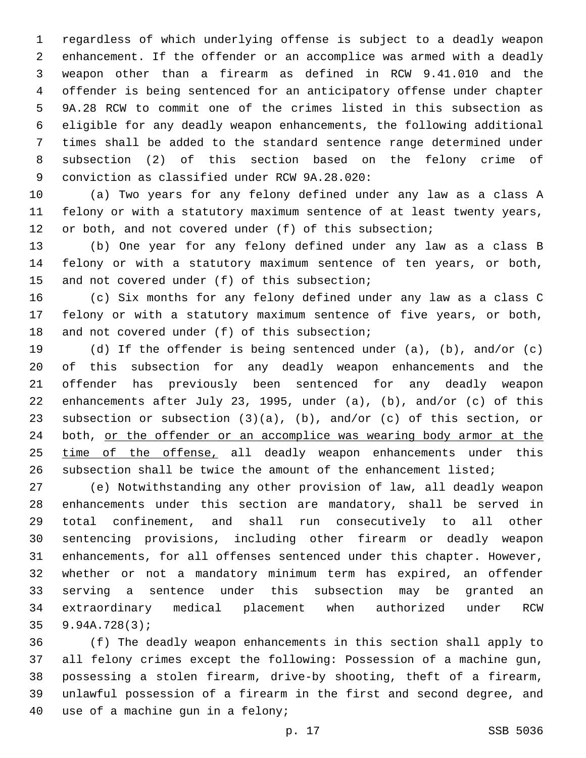regardless of which underlying offense is subject to a deadly weapon enhancement. If the offender or an accomplice was armed with a deadly weapon other than a firearm as defined in RCW 9.41.010 and the offender is being sentenced for an anticipatory offense under chapter 9A.28 RCW to commit one of the crimes listed in this subsection as eligible for any deadly weapon enhancements, the following additional times shall be added to the standard sentence range determined under subsection (2) of this section based on the felony crime of 9 conviction as classified under RCW 9A.28.020:

 (a) Two years for any felony defined under any law as a class A felony or with a statutory maximum sentence of at least twenty years, or both, and not covered under (f) of this subsection;

 (b) One year for any felony defined under any law as a class B felony or with a statutory maximum sentence of ten years, or both, 15 and not covered under (f) of this subsection;

 (c) Six months for any felony defined under any law as a class C felony or with a statutory maximum sentence of five years, or both, 18 and not covered under (f) of this subsection;

 (d) If the offender is being sentenced under (a), (b), and/or (c) of this subsection for any deadly weapon enhancements and the offender has previously been sentenced for any deadly weapon enhancements after July 23, 1995, under (a), (b), and/or (c) of this subsection or subsection (3)(a), (b), and/or (c) of this section, or both, or the offender or an accomplice was wearing body armor at the time of the offense, all deadly weapon enhancements under this subsection shall be twice the amount of the enhancement listed;

 (e) Notwithstanding any other provision of law, all deadly weapon enhancements under this section are mandatory, shall be served in total confinement, and shall run consecutively to all other sentencing provisions, including other firearm or deadly weapon enhancements, for all offenses sentenced under this chapter. However, whether or not a mandatory minimum term has expired, an offender serving a sentence under this subsection may be granted an extraordinary medical placement when authorized under RCW 9.94A.728(3);

 (f) The deadly weapon enhancements in this section shall apply to all felony crimes except the following: Possession of a machine gun, possessing a stolen firearm, drive-by shooting, theft of a firearm, unlawful possession of a firearm in the first and second degree, and 40 use of a machine qun in a felony;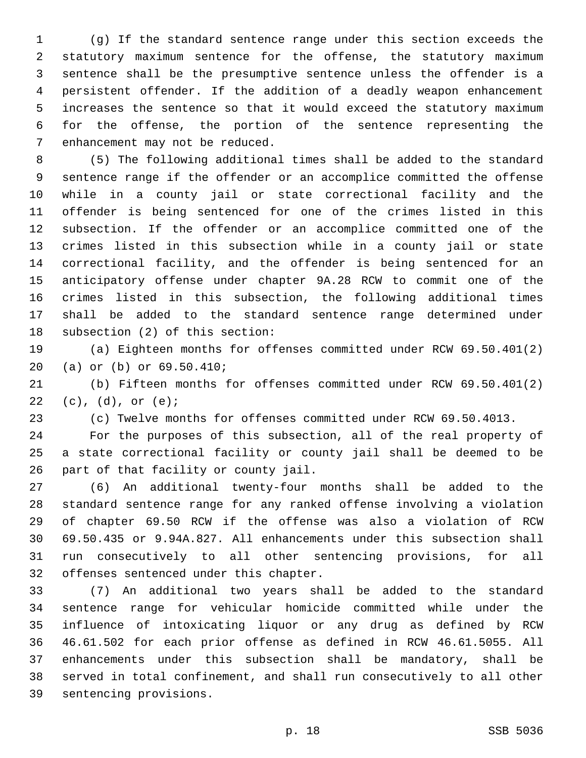(g) If the standard sentence range under this section exceeds the statutory maximum sentence for the offense, the statutory maximum sentence shall be the presumptive sentence unless the offender is a persistent offender. If the addition of a deadly weapon enhancement increases the sentence so that it would exceed the statutory maximum for the offense, the portion of the sentence representing the 7 enhancement may not be reduced.

 (5) The following additional times shall be added to the standard sentence range if the offender or an accomplice committed the offense while in a county jail or state correctional facility and the offender is being sentenced for one of the crimes listed in this subsection. If the offender or an accomplice committed one of the crimes listed in this subsection while in a county jail or state correctional facility, and the offender is being sentenced for an anticipatory offense under chapter 9A.28 RCW to commit one of the crimes listed in this subsection, the following additional times shall be added to the standard sentence range determined under 18 subsection (2) of this section:

 (a) Eighteen months for offenses committed under RCW 69.50.401(2) 20 (a) or (b) or 69.50.410;

 (b) Fifteen months for offenses committed under RCW 69.50.401(2)  $(22)(c), (d), or (e);$ 

(c) Twelve months for offenses committed under RCW 69.50.4013.

 For the purposes of this subsection, all of the real property of a state correctional facility or county jail shall be deemed to be 26 part of that facility or county jail.

 (6) An additional twenty-four months shall be added to the standard sentence range for any ranked offense involving a violation of chapter 69.50 RCW if the offense was also a violation of RCW 69.50.435 or 9.94A.827. All enhancements under this subsection shall run consecutively to all other sentencing provisions, for all 32 offenses sentenced under this chapter.

 (7) An additional two years shall be added to the standard sentence range for vehicular homicide committed while under the influence of intoxicating liquor or any drug as defined by RCW 46.61.502 for each prior offense as defined in RCW 46.61.5055. All enhancements under this subsection shall be mandatory, shall be served in total confinement, and shall run consecutively to all other 39 sentencing provisions.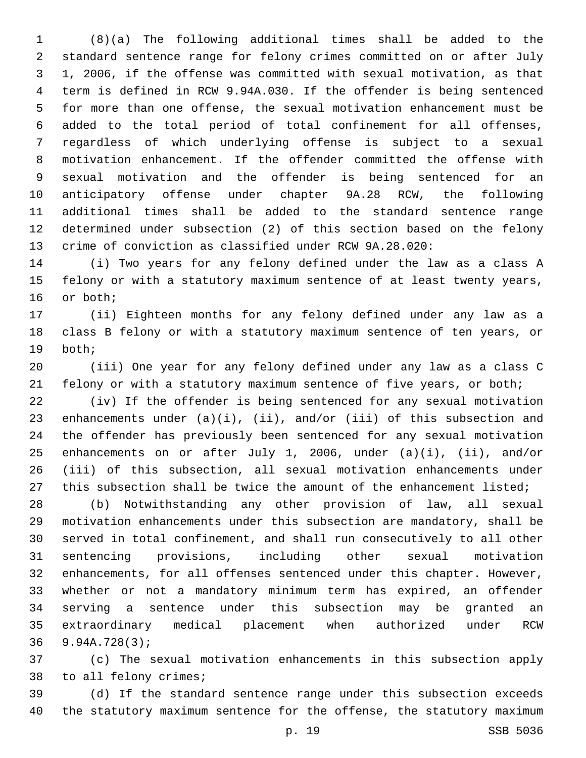(8)(a) The following additional times shall be added to the standard sentence range for felony crimes committed on or after July 1, 2006, if the offense was committed with sexual motivation, as that term is defined in RCW 9.94A.030. If the offender is being sentenced for more than one offense, the sexual motivation enhancement must be added to the total period of total confinement for all offenses, regardless of which underlying offense is subject to a sexual motivation enhancement. If the offender committed the offense with sexual motivation and the offender is being sentenced for an anticipatory offense under chapter 9A.28 RCW, the following additional times shall be added to the standard sentence range determined under subsection (2) of this section based on the felony crime of conviction as classified under RCW 9A.28.020:

 (i) Two years for any felony defined under the law as a class A felony or with a statutory maximum sentence of at least twenty years, 16 or both;

 (ii) Eighteen months for any felony defined under any law as a class B felony or with a statutory maximum sentence of ten years, or 19 both;

 (iii) One year for any felony defined under any law as a class C 21 felony or with a statutory maximum sentence of five years, or both;

 (iv) If the offender is being sentenced for any sexual motivation enhancements under (a)(i), (ii), and/or (iii) of this subsection and the offender has previously been sentenced for any sexual motivation enhancements on or after July 1, 2006, under (a)(i), (ii), and/or (iii) of this subsection, all sexual motivation enhancements under 27 this subsection shall be twice the amount of the enhancement listed;

 (b) Notwithstanding any other provision of law, all sexual motivation enhancements under this subsection are mandatory, shall be served in total confinement, and shall run consecutively to all other sentencing provisions, including other sexual motivation enhancements, for all offenses sentenced under this chapter. However, whether or not a mandatory minimum term has expired, an offender serving a sentence under this subsection may be granted an extraordinary medical placement when authorized under RCW 9.94A.728(3);

 (c) The sexual motivation enhancements in this subsection apply 38 to all felony crimes;

 (d) If the standard sentence range under this subsection exceeds the statutory maximum sentence for the offense, the statutory maximum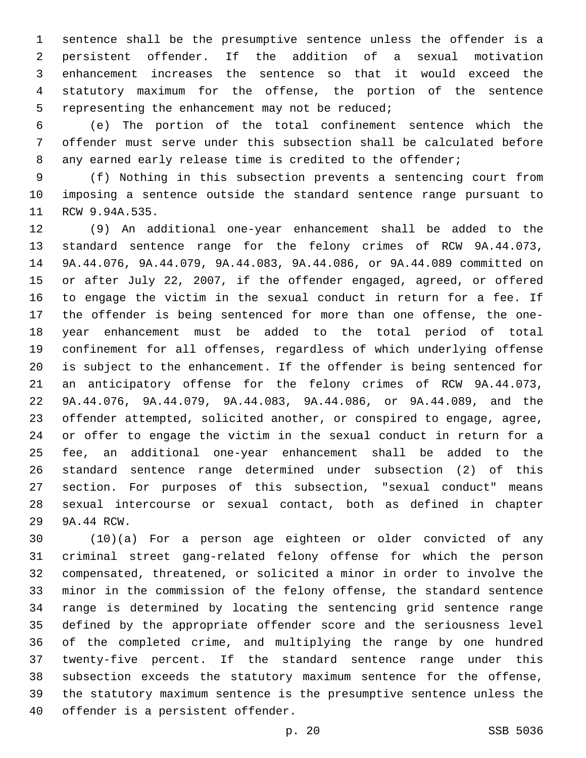sentence shall be the presumptive sentence unless the offender is a persistent offender. If the addition of a sexual motivation enhancement increases the sentence so that it would exceed the statutory maximum for the offense, the portion of the sentence 5 representing the enhancement may not be reduced;

 (e) The portion of the total confinement sentence which the offender must serve under this subsection shall be calculated before any earned early release time is credited to the offender;

 (f) Nothing in this subsection prevents a sentencing court from imposing a sentence outside the standard sentence range pursuant to 11 RCW 9.94A.535.

 (9) An additional one-year enhancement shall be added to the standard sentence range for the felony crimes of RCW 9A.44.073, 9A.44.076, 9A.44.079, 9A.44.083, 9A.44.086, or 9A.44.089 committed on or after July 22, 2007, if the offender engaged, agreed, or offered to engage the victim in the sexual conduct in return for a fee. If the offender is being sentenced for more than one offense, the one- year enhancement must be added to the total period of total confinement for all offenses, regardless of which underlying offense is subject to the enhancement. If the offender is being sentenced for an anticipatory offense for the felony crimes of RCW 9A.44.073, 9A.44.076, 9A.44.079, 9A.44.083, 9A.44.086, or 9A.44.089, and the offender attempted, solicited another, or conspired to engage, agree, or offer to engage the victim in the sexual conduct in return for a fee, an additional one-year enhancement shall be added to the standard sentence range determined under subsection (2) of this section. For purposes of this subsection, "sexual conduct" means sexual intercourse or sexual contact, both as defined in chapter 29 9A.44 RCW.

 (10)(a) For a person age eighteen or older convicted of any criminal street gang-related felony offense for which the person compensated, threatened, or solicited a minor in order to involve the minor in the commission of the felony offense, the standard sentence range is determined by locating the sentencing grid sentence range defined by the appropriate offender score and the seriousness level of the completed crime, and multiplying the range by one hundred twenty-five percent. If the standard sentence range under this subsection exceeds the statutory maximum sentence for the offense, the statutory maximum sentence is the presumptive sentence unless the 40 offender is a persistent offender.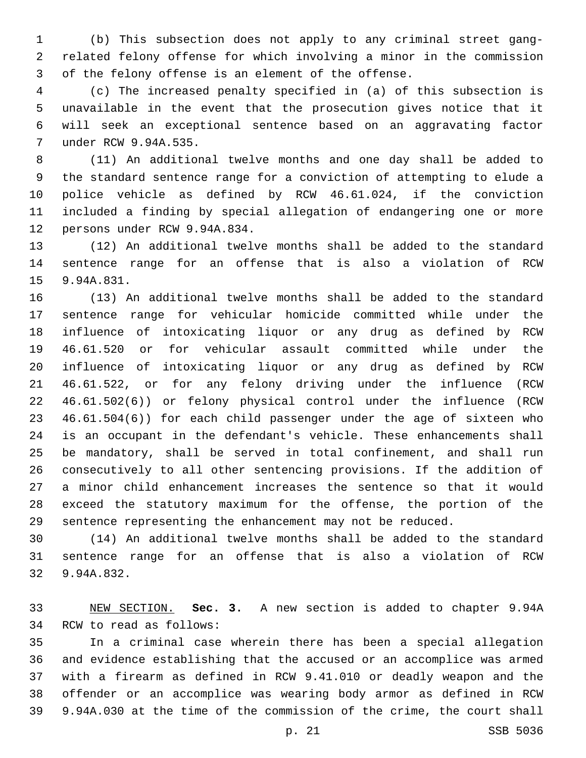(b) This subsection does not apply to any criminal street gang- related felony offense for which involving a minor in the commission of the felony offense is an element of the offense.

 (c) The increased penalty specified in (a) of this subsection is unavailable in the event that the prosecution gives notice that it will seek an exceptional sentence based on an aggravating factor under RCW 9.94A.535.7

 (11) An additional twelve months and one day shall be added to the standard sentence range for a conviction of attempting to elude a police vehicle as defined by RCW 46.61.024, if the conviction included a finding by special allegation of endangering one or more 12 persons under RCW 9.94A.834.

 (12) An additional twelve months shall be added to the standard sentence range for an offense that is also a violation of RCW 15 9.94A.831.

 (13) An additional twelve months shall be added to the standard sentence range for vehicular homicide committed while under the influence of intoxicating liquor or any drug as defined by RCW 46.61.520 or for vehicular assault committed while under the influence of intoxicating liquor or any drug as defined by RCW 46.61.522, or for any felony driving under the influence (RCW 46.61.502(6)) or felony physical control under the influence (RCW 46.61.504(6)) for each child passenger under the age of sixteen who is an occupant in the defendant's vehicle. These enhancements shall be mandatory, shall be served in total confinement, and shall run consecutively to all other sentencing provisions. If the addition of a minor child enhancement increases the sentence so that it would exceed the statutory maximum for the offense, the portion of the sentence representing the enhancement may not be reduced.

 (14) An additional twelve months shall be added to the standard sentence range for an offense that is also a violation of RCW 32 9.94A.832.

 NEW SECTION. **Sec. 3.** A new section is added to chapter 9.94A 34 RCW to read as follows:

 In a criminal case wherein there has been a special allegation and evidence establishing that the accused or an accomplice was armed with a firearm as defined in RCW 9.41.010 or deadly weapon and the offender or an accomplice was wearing body armor as defined in RCW 9.94A.030 at the time of the commission of the crime, the court shall